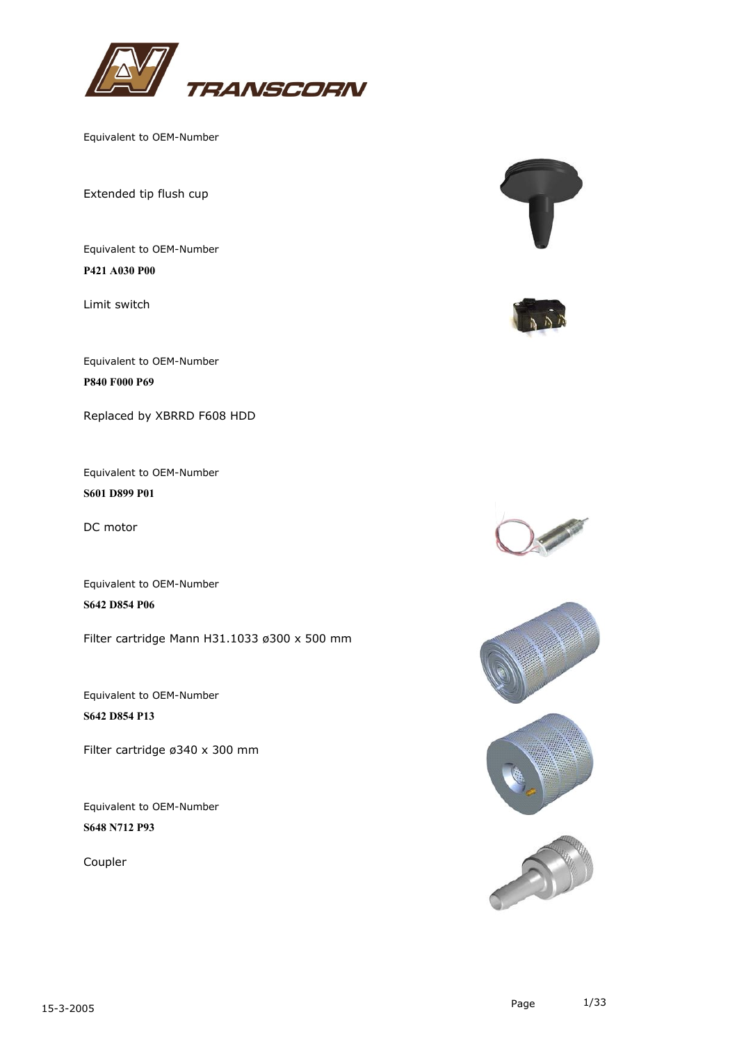

Extended tip flush cup

Equivalent to OEM-Number **P421 A030 P00**

Limit switch

Equivalent to OEM-Number **P840 F000 P69**

Replaced by XBRRD F608 HDD

Equivalent to OEM-Number **S601 D899 P01**

DC motor

Equivalent to OEM-Number **S642 D854 P06**

Filter cartridge Mann H31.1033 ø300 x 500 mm

Equivalent to OEM-Number **S642 D854 P13**

Filter cartridge ø340 x 300 mm

Equivalent to OEM-Number **S648 N712 P93**

Coupler









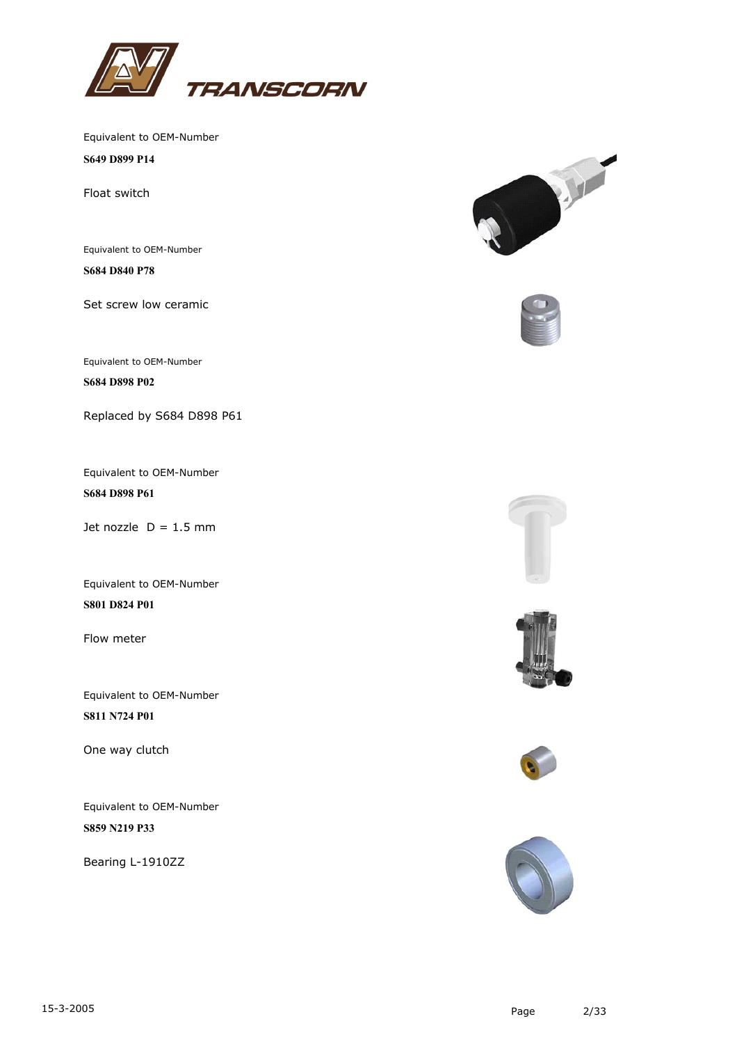

**S649 D899 P14**

Float switch

Equivalent to OEM-Number

**S684 D840 P78**

Set screw low ceramic

Equivalent to OEM-Number

**S684 D898 P02**

Replaced by S684 D898 P61

Equivalent to OEM-Number **S684 D898 P61**

Jet nozzle  $D = 1.5$  mm

Equivalent to OEM-Number **S801 D824 P01**

Flow meter

Equivalent to OEM-Number **S811 N724 P01**

One way clutch

Equivalent to OEM-Number **S859 N219 P33**

Bearing L-1910ZZ











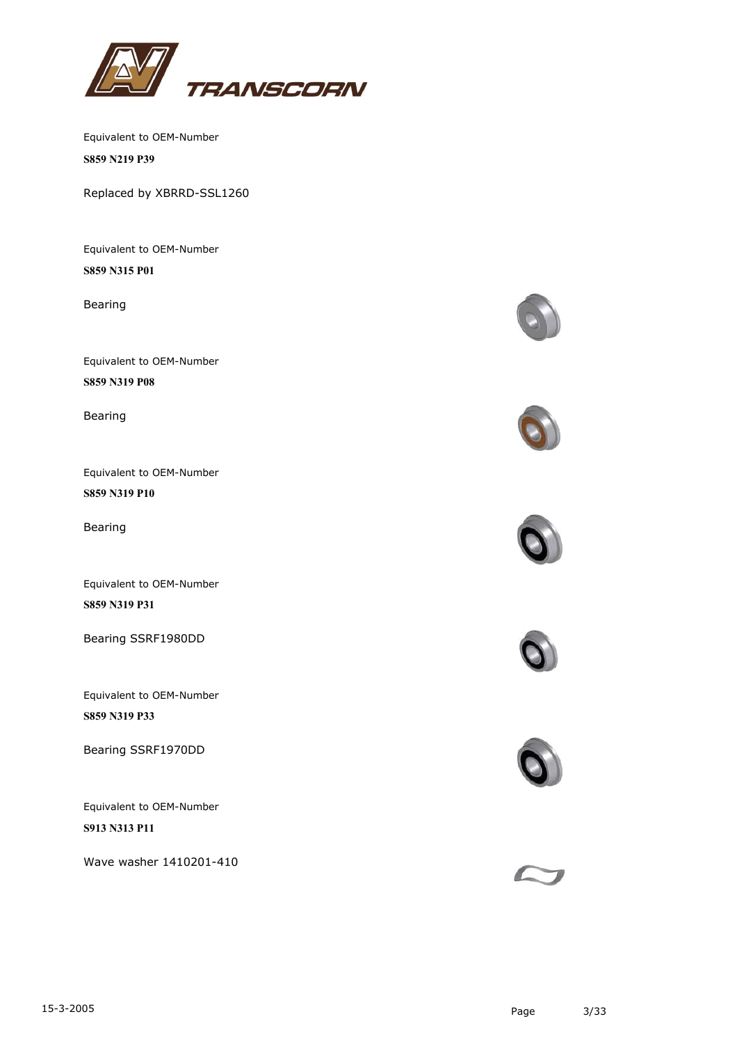

Equivalent to OEM-Number **S859 N219 P39**

Replaced by XBRRD-SSL1260

Equivalent to OEM-Number **S859 N315 P01**

Bearing

Equivalent to OEM-Number **S859 N319 P08**

Bearing

Equivalent to OEM-Number **S859 N319 P10**

Bearing

Equivalent to OEM-Number **S859 N319 P31**

Bearing SSRF1980DD

Equivalent to OEM-Number **S859 N319 P33**

Bearing SSRF1970DD

Equivalent to OEM-Number **S913 N313 P11**

Wave washer 1410201-410











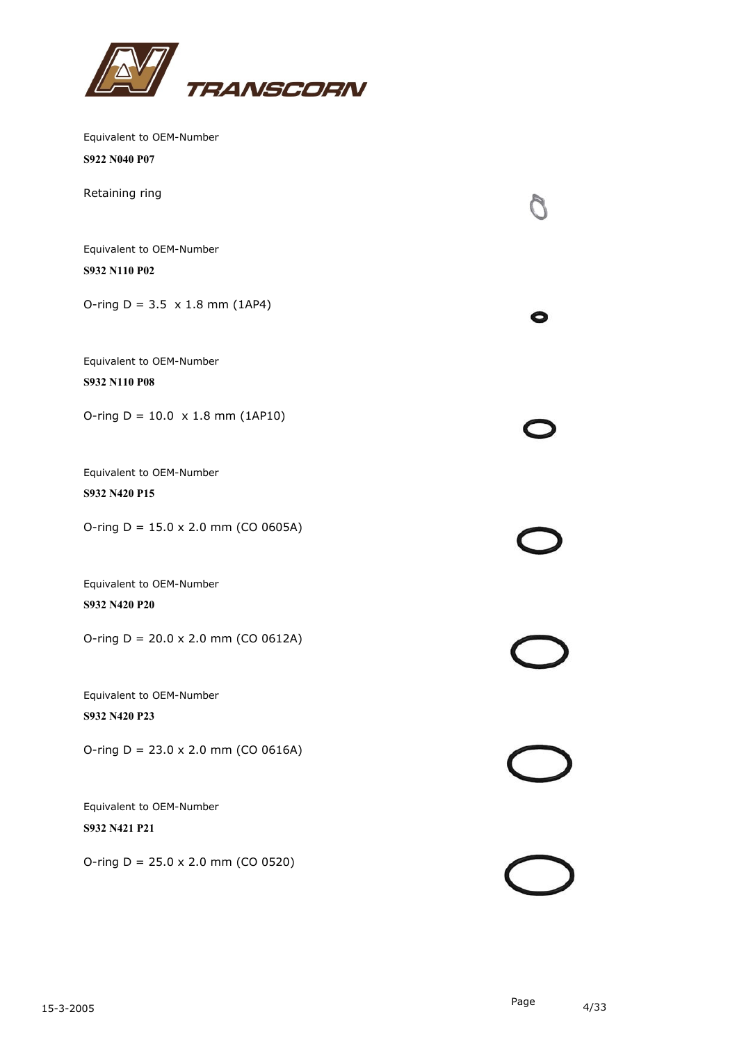

| Equivalent to OEM-Number                   |  |
|--------------------------------------------|--|
| S922 N040 P07                              |  |
| Retaining ring                             |  |
| Equivalent to OEM-Number                   |  |
| S932 N110 P02                              |  |
| O-ring $D = 3.5 \times 1.8$ mm (1AP4)      |  |
| Equivalent to OEM-Number                   |  |
| S932 N110 P08                              |  |
| O-ring $D = 10.0 \times 1.8$ mm (1AP10)    |  |
| Equivalent to OEM-Number                   |  |
| S932 N420 P15                              |  |
| O-ring $D = 15.0 \times 2.0$ mm (CO 0605A) |  |
| Equivalent to OEM-Number                   |  |
| S932 N420 P20                              |  |
| O-ring $D = 20.0 \times 2.0$ mm (CO 0612A) |  |
| Equivalent to OEM-Number                   |  |
| S932 N420 P23                              |  |
| O-ring $D = 23.0 \times 2.0$ mm (CO 0616A) |  |
| Equivalent to OEM-Number                   |  |
| S932 N421 P21                              |  |
| O-ring $D = 25.0 \times 2.0$ mm (CO 0520)  |  |
|                                            |  |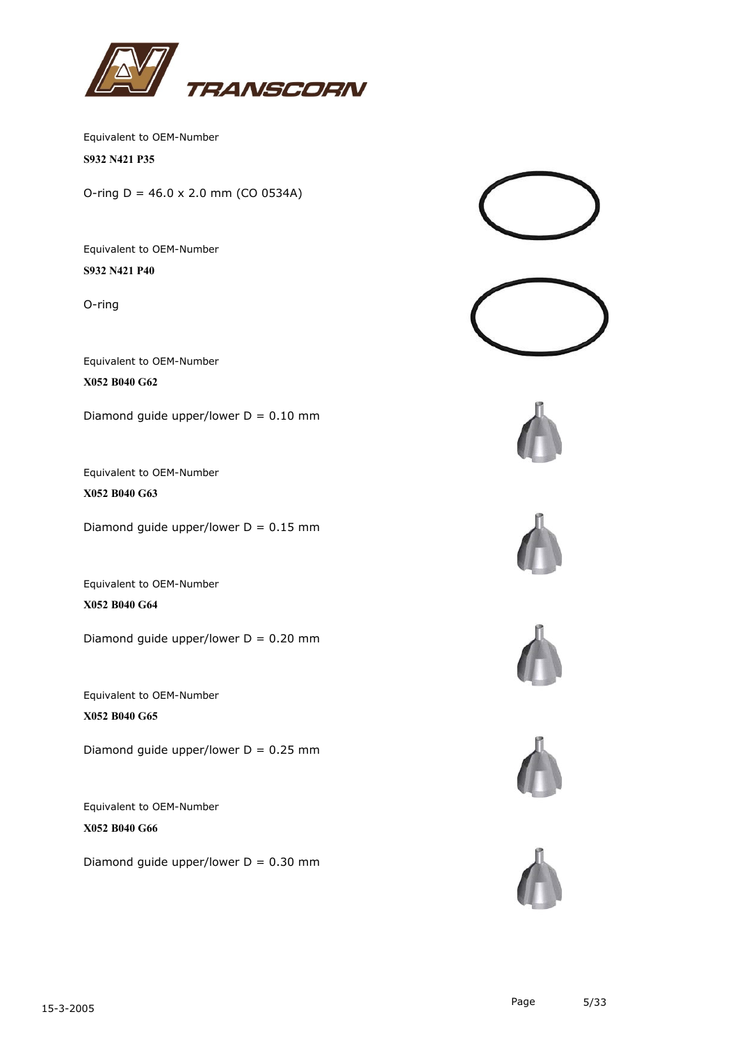

**S932 N421 P35**

O-ring  $D = 46.0 \times 2.0$  mm (CO 0534A)

Equivalent to OEM-Number **S932 N421 P40**

O-ring

Equivalent to OEM-Number

**X052 B040 G62**

Diamond guide upper/lower  $D = 0.10$  mm

Equivalent to OEM-Number

**X052 B040 G63**

Diamond guide upper/lower  $D = 0.15$  mm

Equivalent to OEM-Number **X052 B040 G64**

Diamond guide upper/lower  $D = 0.20$  mm

Equivalent to OEM-Number **X052 B040 G65**

Diamond guide upper/lower  $D = 0.25$  mm

Equivalent to OEM-Number **X052 B040 G66**

Diamond quide upper/lower  $D = 0.30$  mm











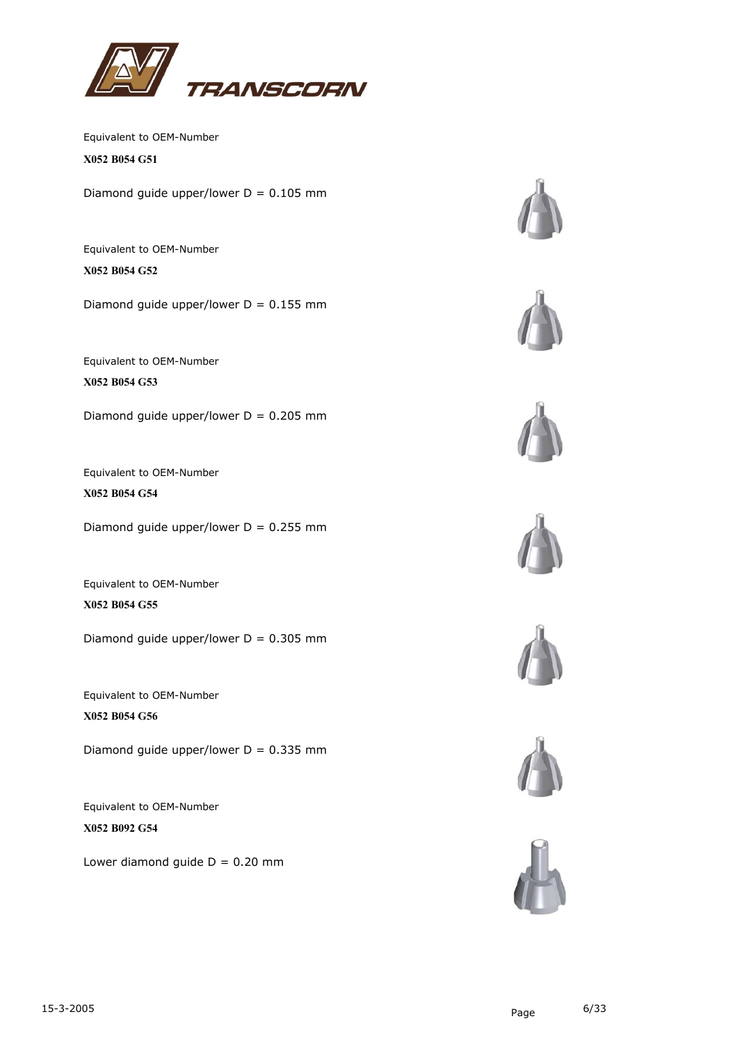

**X052 B054 G51**

Diamond guide upper/lower  $D = 0.105$  mm

Equivalent to OEM-Number **X052 B054 G52**

Diamond guide upper/lower  $D = 0.155$  mm

Equivalent to OEM-Number

**X052 B054 G53**

Diamond guide upper/lower  $D = 0.205$  mm

Equivalent to OEM-Number **X052 B054 G54**

Diamond guide upper/lower  $D = 0.255$  mm

Equivalent to OEM-Number **X052 B054 G55**

Diamond guide upper/lower  $D = 0.305$  mm

Equivalent to OEM-Number **X052 B054 G56**

Diamond guide upper/lower  $D = 0.335$  mm

Equivalent to OEM-Number **X052 B092 G54**

Lower diamond quide  $D = 0.20$  mm













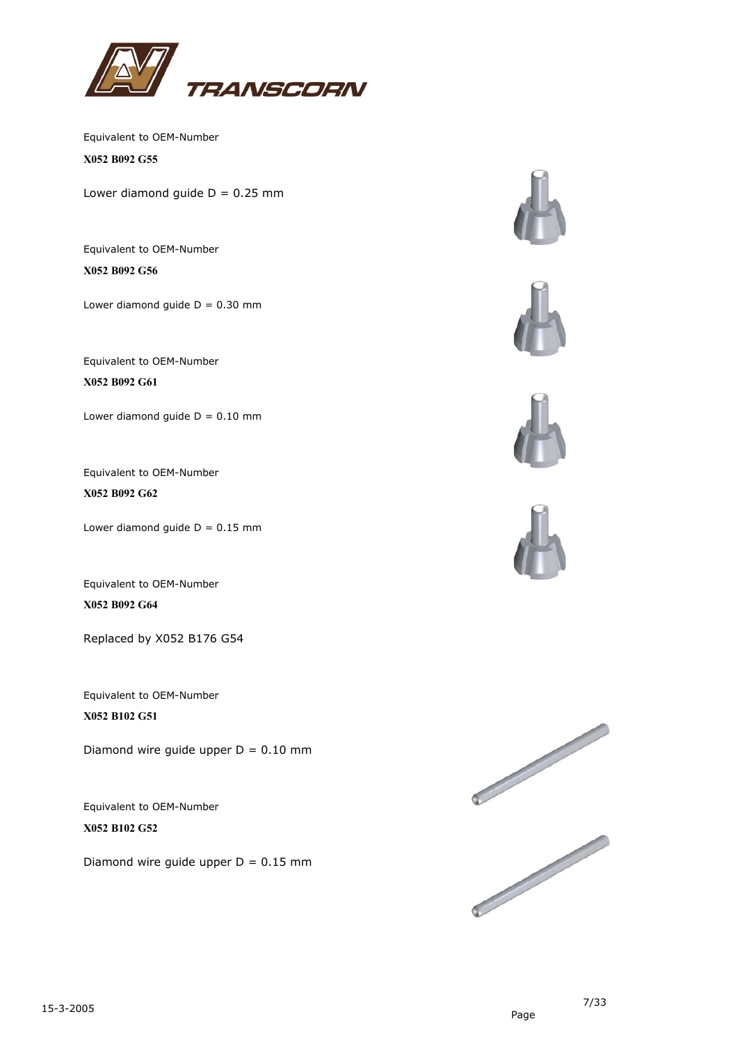

Equivalent to OEM-Number **X052 B092 G55**

Lower diamond guide  $D = 0.25$  mm

Equivalent to OEM-Number **X052 B092 G56**

Lower diamond guide  $D = 0.30$  mm

Equivalent to OEM-Number **X052 B092 G61**

Lower diamond guide  $D = 0.10$  mm

Equivalent to OEM-Number **X052 B092 G62**

Lower diamond guide  $D = 0.15$  mm

Equivalent to OEM-Number **X052 B092 G64**

Replaced by X052 B176 G54

Equivalent to OEM-Number **X052 B102 G51**

Diamond wire guide upper  $D = 0.10$  mm

Equivalent to OEM-Number **X052 B102 G52**

Diamond wire quide upper  $D = 0.15$  mm













7/33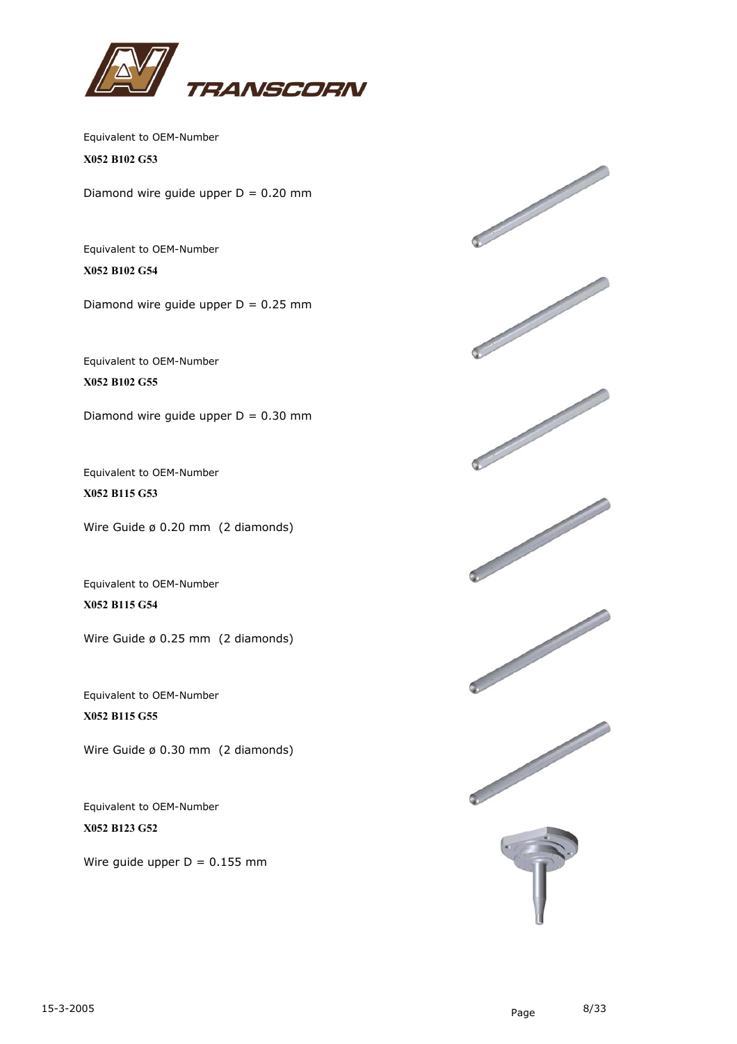

**X052 B102 G53**

Diamond wire guide upper  $D = 0.20$  mm

Equivalent to OEM-Number **X052 B102 G54**

Diamond wire guide upper  $D = 0.25$  mm

Equivalent to OEM-Number **X052 B102 G55**

Diamond wire guide upper  $D = 0.30$  mm

Equivalent to OEM-Number **X052 B115 G53**

Wire Guide ø 0.20 mm (2 diamonds)

Equivalent to OEM-Number **X052 B115 G54**

Wire Guide ø 0.25 mm (2 diamonds)

Equivalent to OEM-Number **X052 B115 G55**

Wire Guide ø 0.30 mm (2 diamonds)

Equivalent to OEM-Number **X052 B123 G52**

Wire quide upper  $D = 0.155$  mm

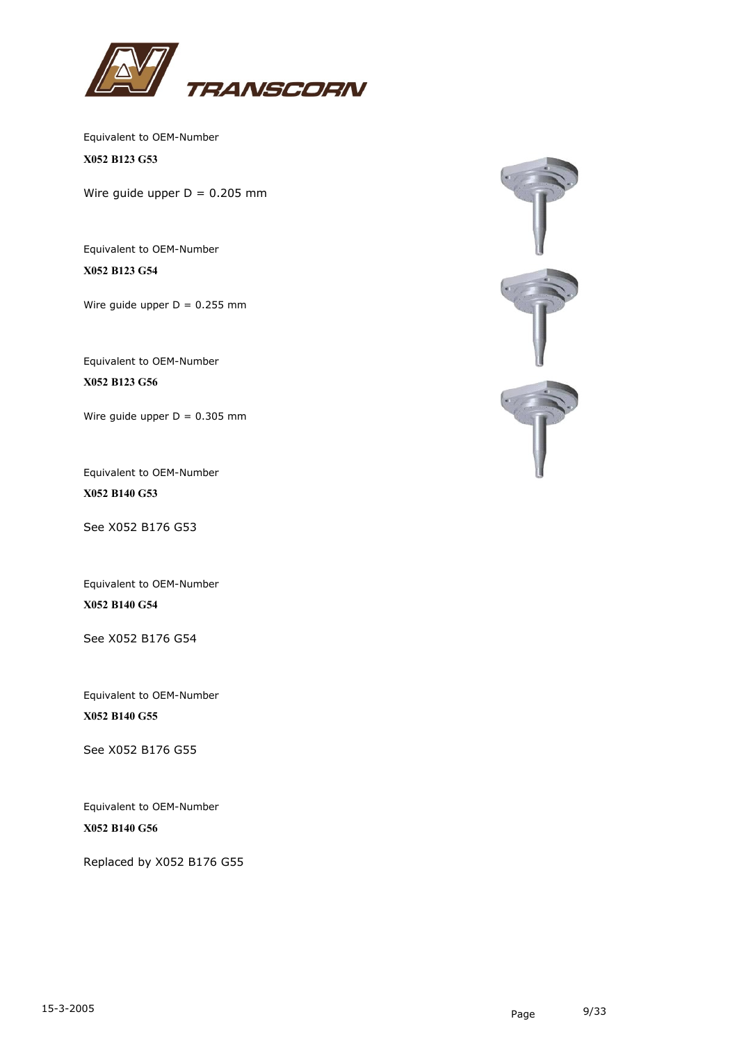

**X052 B123 G53**

Wire guide upper  $D = 0.205$  mm

Equivalent to OEM-Number

**X052 B123 G54**

Wire guide upper  $D = 0.255$  mm

Equivalent to OEM-Number

**X052 B123 G56**

Wire guide upper  $D = 0.305$  mm

Equivalent to OEM-Number **X052 B140 G53**

See X052 B176 G53

Equivalent to OEM-Number **X052 B140 G54**

See X052 B176 G54

Equivalent to OEM-Number **X052 B140 G55**

See X052 B176 G55

Equivalent to OEM-Number **X052 B140 G56**

Replaced by X052 B176 G55

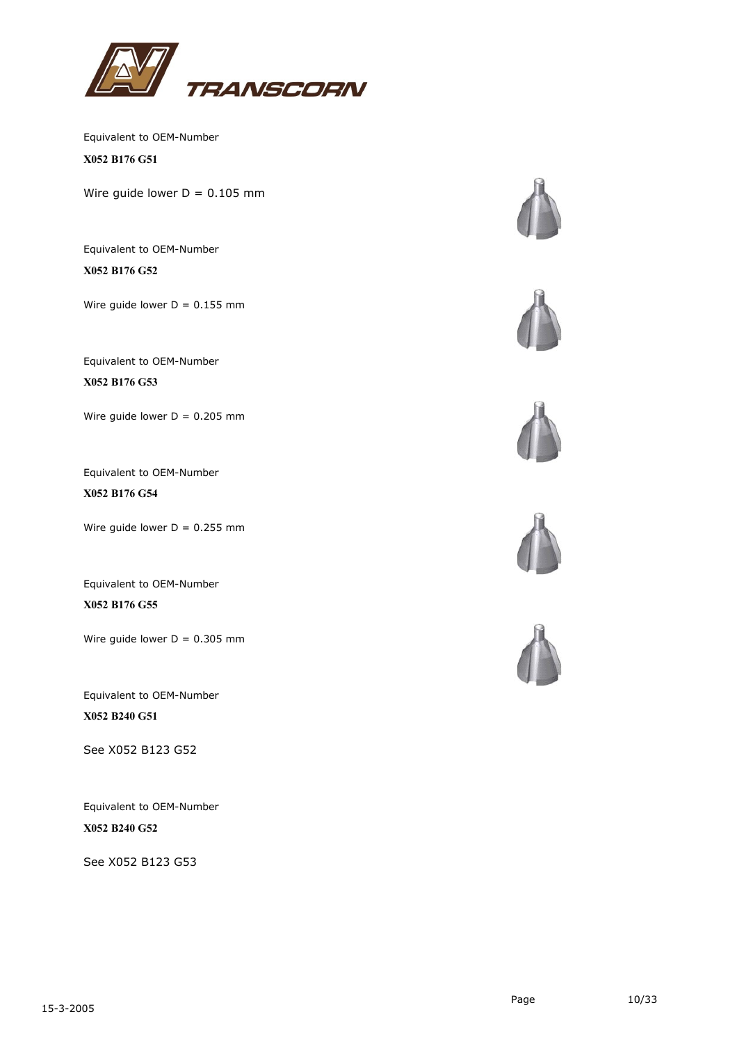

**X052 B176 G51**

Wire guide lower  $D = 0.105$  mm

Equivalent to OEM-Number **X052 B176 G52**

Wire guide lower  $D = 0.155$  mm

Equivalent to OEM-Number

**X052 B176 G53**

Wire guide lower  $D = 0.205$  mm

Equivalent to OEM-Number **X052 B176 G54**

Wire guide lower  $D = 0.255$  mm

Equivalent to OEM-Number **X052 B176 G55**

Wire guide lower  $D = 0.305$  mm

Equivalent to OEM-Number **X052 B240 G51**

See X052 B123 G52

Equivalent to OEM-Number **X052 B240 G52**

See X052 B123 G53









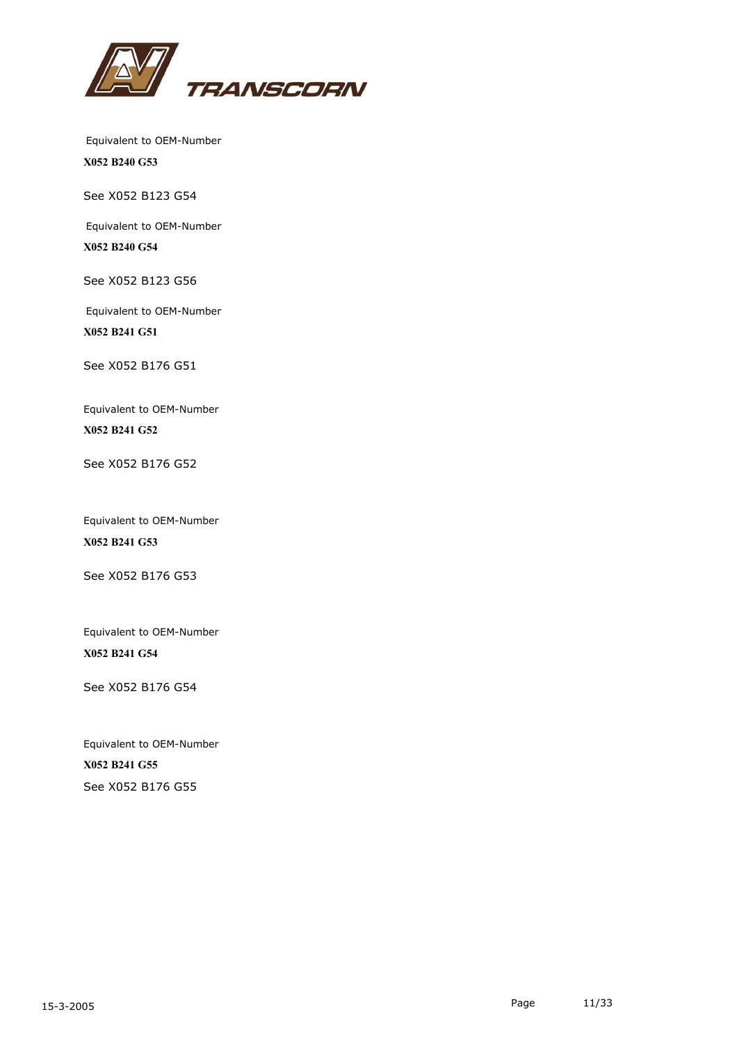

**X052 B240 G53**

See X052 B123 G54

Equivalent to OEM-Number

**X052 B240 G54**

See X052 B123 G56

Equivalent to OEM-Number **X052 B241 G51**

See X052 B176 G51

Equivalent to OEM-Number **X052 B241 G52**

See X052 B176 G52

Equivalent to OEM-Number **X052 B241 G53**

See X052 B176 G53

Equivalent to OEM-Number **X052 B241 G54**

See X052 B176 G54

Equivalent to OEM-Number **X052 B241 G55** See X052 B176 G55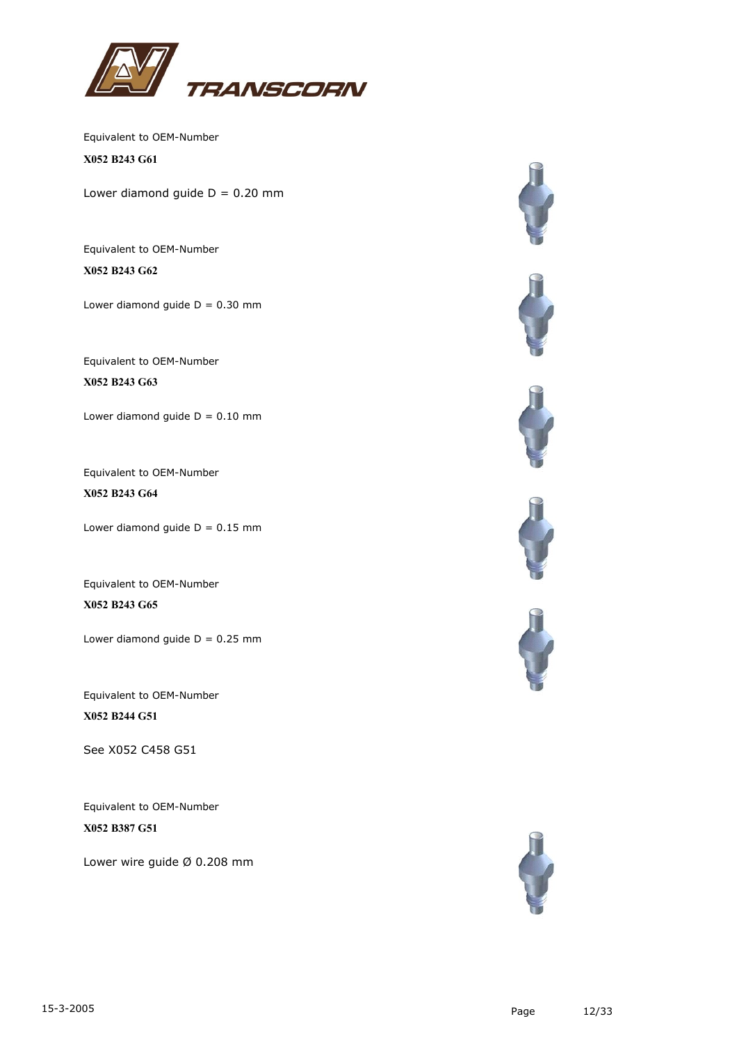

**X052 B243 G61**

Lower diamond guide  $D = 0.20$  mm

Equivalent to OEM-Number **X052 B243 G62**

Lower diamond guide  $D = 0.30$  mm

Equivalent to OEM-Number

**X052 B243 G63**

Lower diamond guide  $D = 0.10$  mm

Equivalent to OEM-Number **X052 B243 G64**

Lower diamond guide  $D = 0.15$  mm

Equivalent to OEM-Number **X052 B243 G65**

Lower diamond guide  $D = 0.25$  mm

Equivalent to OEM-Number **X052 B244 G51**

See X052 C458 G51

Equivalent to OEM-Number **X052 B387 G51**

Lower wire guide Ø 0.208 mm











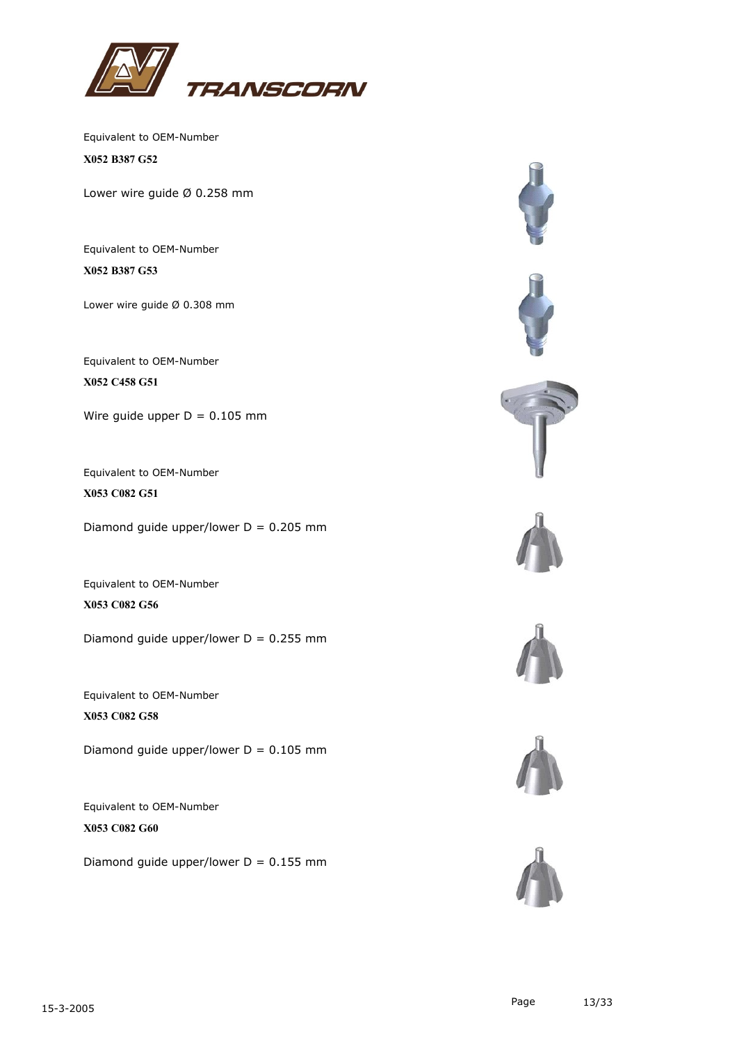

Equivalent to OEM-Number **X052 B387 G52**

Lower wire guide Ø 0.258 mm

Equivalent to OEM-Number **X052 B387 G53**

Lower wire guide Ø 0.308 mm

Equivalent to OEM-Number **X052 C458 G51**

Wire guide upper  $D = 0.105$  mm

Equivalent to OEM-Number **X053 C082 G51**

Diamond guide upper/lower  $D = 0.205$  mm

Equivalent to OEM-Number **X053 C082 G56**

Diamond guide upper/lower  $D = 0.255$  mm

Equivalent to OEM-Number **X053 C082 G58**

Diamond guide upper/lower  $D = 0.105$  mm

Equivalent to OEM-Number **X053 C082 G60**

Diamond guide upper/lower  $D = 0.155$  mm







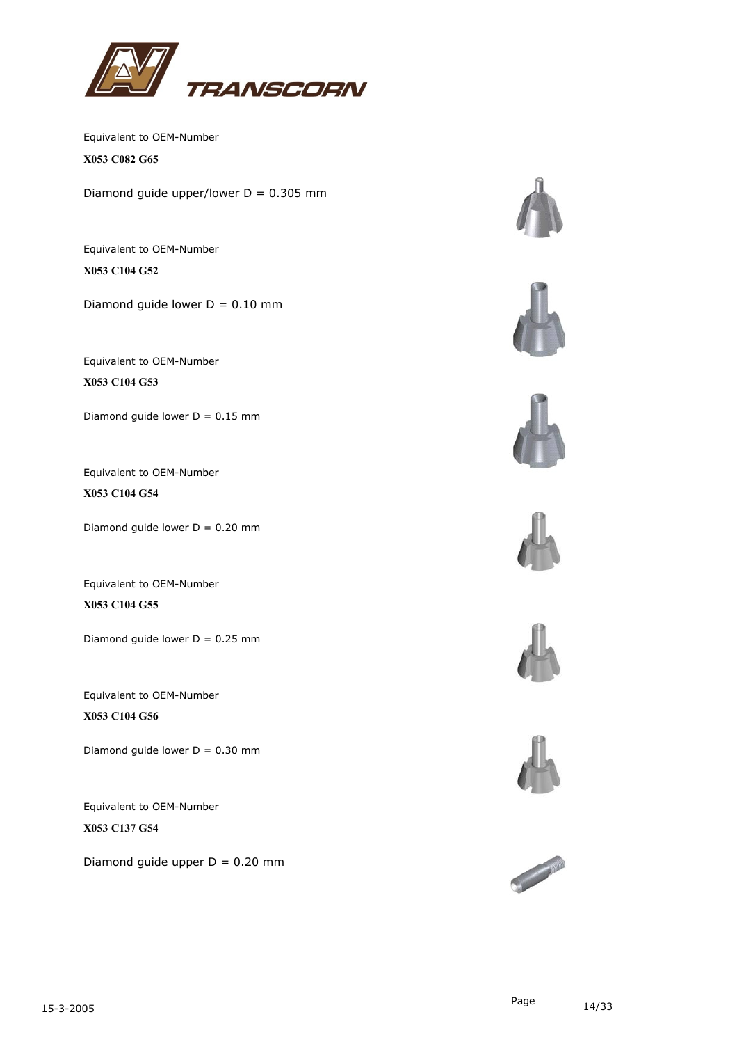

Equivalent to OEM-Number **X053 C082 G65**

Diamond guide upper/lower  $D = 0.305$  mm

Equivalent to OEM-Number **X053 C104 G52**

Diamond guide lower  $D = 0.10$  mm

Equivalent to OEM-Number

**X053 C104 G53**

Diamond guide lower  $D = 0.15$  mm

Equivalent to OEM-Number **X053 C104 G54**

Diamond guide lower  $D = 0.20$  mm

Equivalent to OEM-Number **X053 C104 G55**

Diamond guide lower  $D = 0.25$  mm

Equivalent to OEM-Number **X053 C104 G56**

Diamond guide lower  $D = 0.30$  mm

Equivalent to OEM-Number **X053 C137 G54**

Diamond quide upper  $D = 0.20$  mm













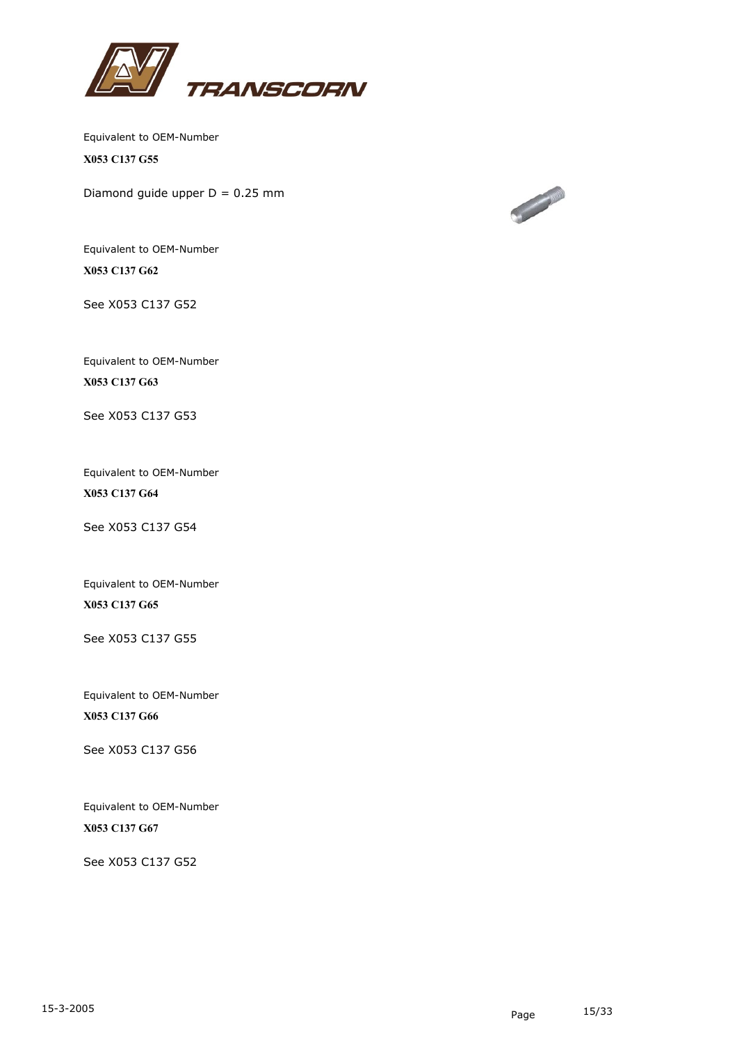

Equivalent to OEM-Number **X053 C137 G55**

Diamond guide upper  $D = 0.25$  mm



Equivalent to OEM-Number **X053 C137 G62**

See X053 C137 G52

Equivalent to OEM-Number **X053 C137 G63**

See X053 C137 G53

Equivalent to OEM-Number **X053 C137 G64**

See X053 C137 G54

Equivalent to OEM-Number **X053 C137 G65**

See X053 C137 G55

Equivalent to OEM-Number **X053 C137 G66**

See X053 C137 G56

Equivalent to OEM-Number **X053 C137 G67**

See X053 C137 G52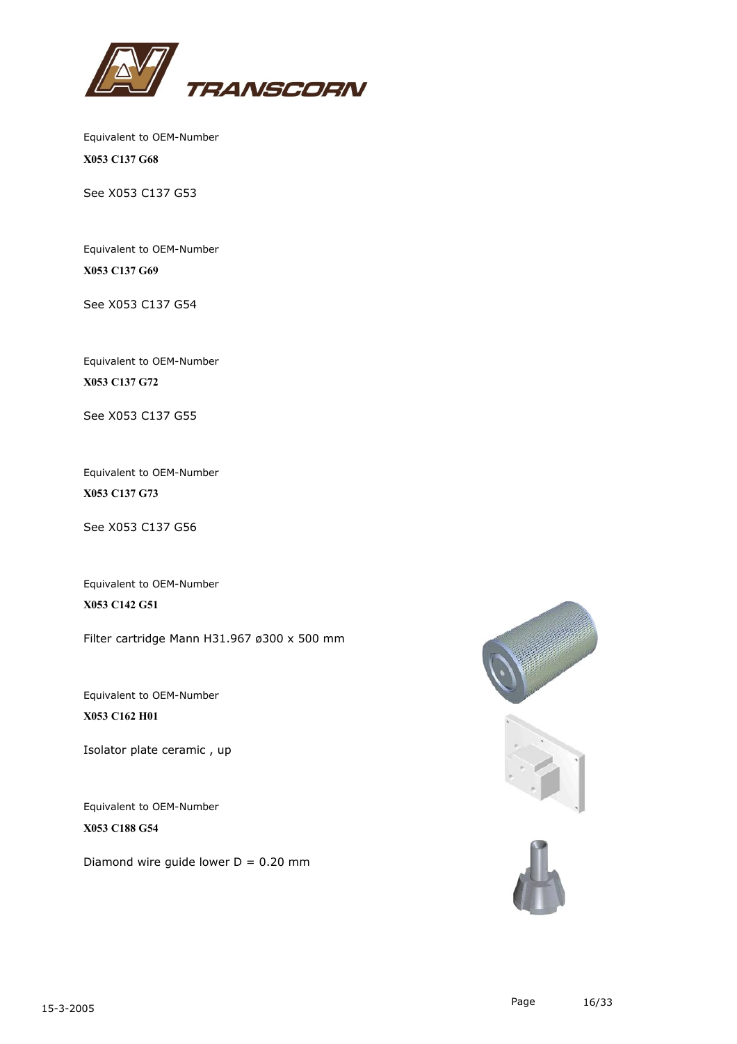

Equivalent to OEM-Number **X053 C137 G68**

See X053 C137 G53

Equivalent to OEM-Number **X053 C137 G69**

See X053 C137 G54

Equivalent to OEM-Number **X053 C137 G72**

See X053 C137 G55

Equivalent to OEM-Number **X053 C137 G73**

See X053 C137 G56

Equivalent to OEM-Number **X053 C142 G51**

Filter cartridge Mann H31.967 ø300 x 500 mm

Equivalent to OEM-Number **X053 C162 H01**

Isolator plate ceramic , up

Equivalent to OEM-Number **X053 C188 G54**

Diamond wire quide lower  $D = 0.20$  mm

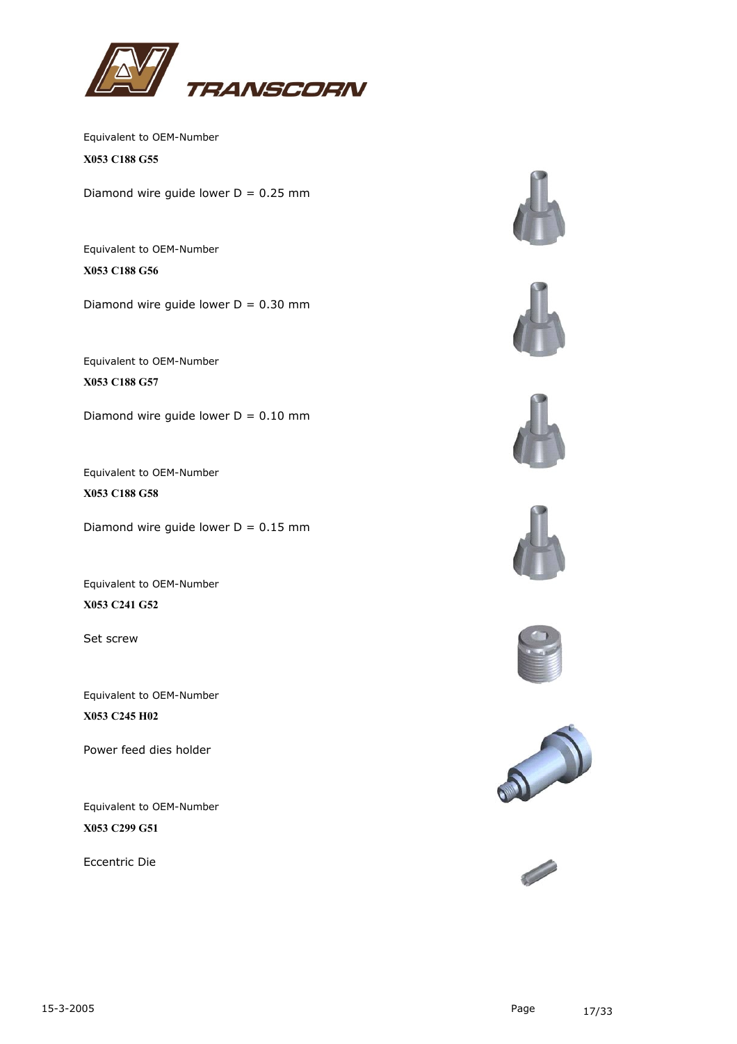

Equivalent to OEM-Number **X053 C188 G55**

Diamond wire guide lower  $D = 0.25$  mm

Equivalent to OEM-Number **X053 C188 G56**

Diamond wire guide lower  $D = 0.30$  mm

Equivalent to OEM-Number **X053 C188 G57**

Diamond wire guide lower  $D = 0.10$  mm

Equivalent to OEM-Number **X053 C188 G58**

Diamond wire guide lower  $D = 0.15$  mm

Equivalent to OEM-Number **X053 C241 G52**

Set screw

Equivalent to OEM-Number **X053 C245 H02**

Power feed dies holder

Equivalent to OEM-Number **X053 C299 G51**

Eccentric Die













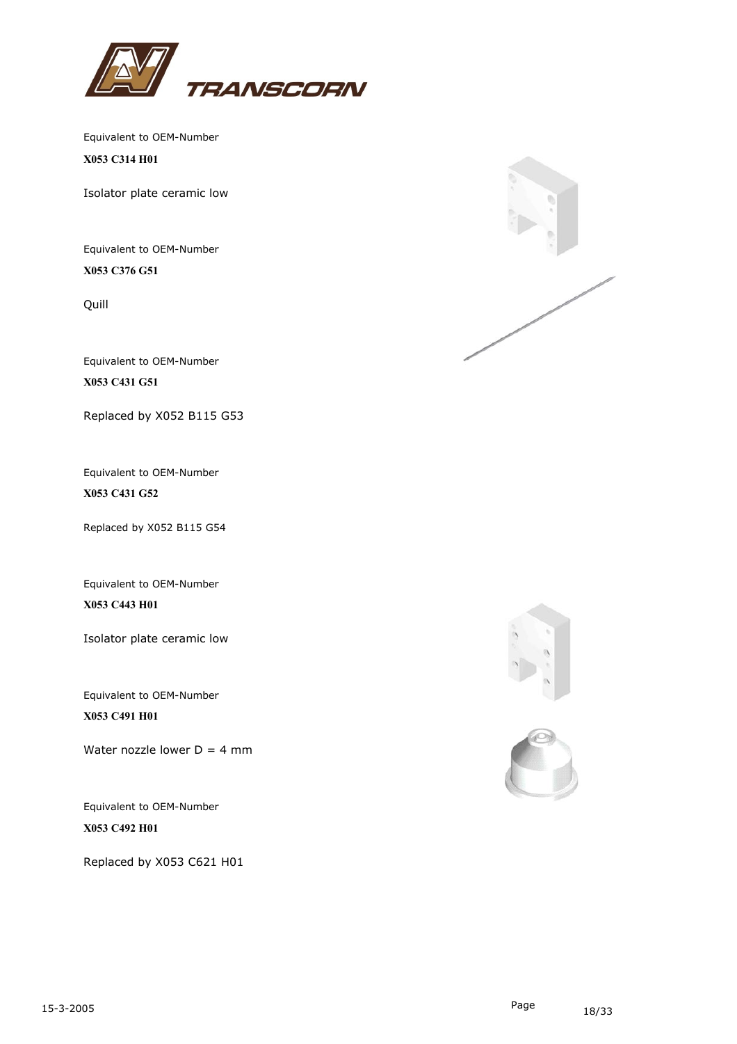

**X053 C314 H01**

Isolator plate ceramic low

Equivalent to OEM-Number **X053 C376 G51**

Quill

Equivalent to OEM-Number **X053 C431 G51**

Replaced by X052 B115 G53

Equivalent to OEM-Number **X053 C431 G52**

Replaced by X052 B115 G54

Equivalent to OEM-Number **X053 C443 H01**

Isolator plate ceramic low

Equivalent to OEM-Number **X053 C491 H01**

Water nozzle lower  $D = 4$  mm

Equivalent to OEM-Number **X053 C492 H01**

Replaced by X053 C621 H01





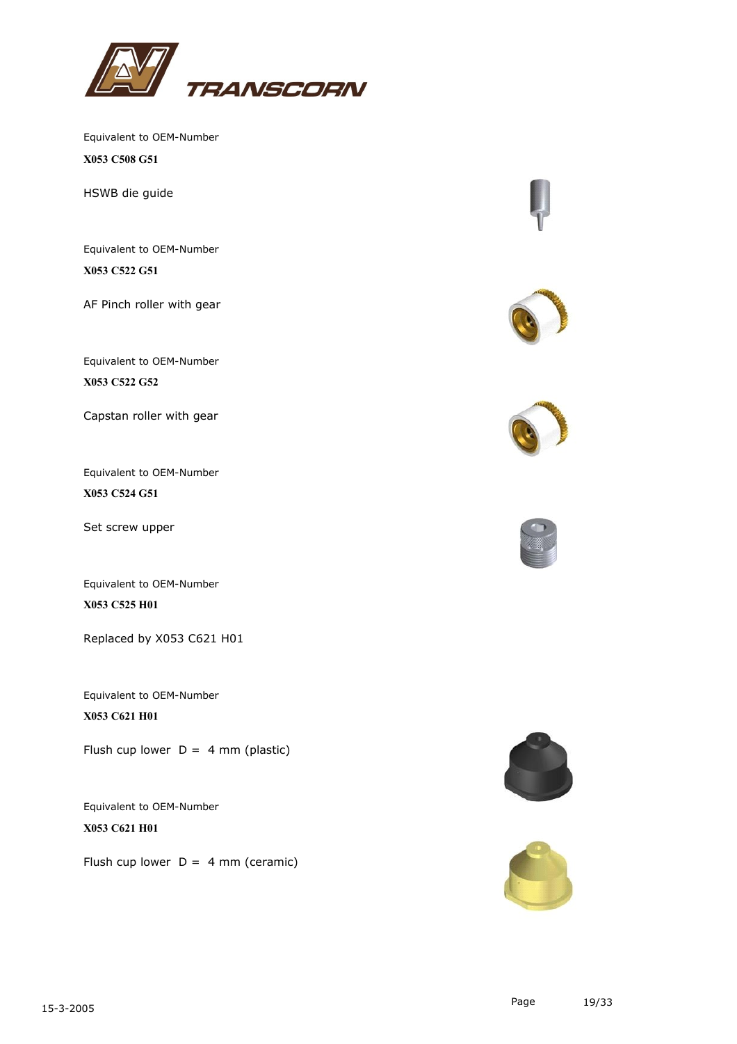

Equivalent to OEM-Number **X053 C508 G51**

HSWB die guide

Equivalent to OEM-Number **X053 C522 G51**

AF Pinch roller with gear

Equivalent to OEM-Number **X053 C522 G52**

Capstan roller with gear

Equivalent to OEM-Number **X053 C524 G51**

Set screw upper

Equivalent to OEM-Number **X053 C525 H01**

Replaced by X053 C621 H01

Equivalent to OEM-Number **X053 C621 H01**

Flush cup lower  $D = 4$  mm (plastic)

Equivalent to OEM-Number **X053 C621 H01**

Flush cup lower  $D = 4$  mm (ceramic)











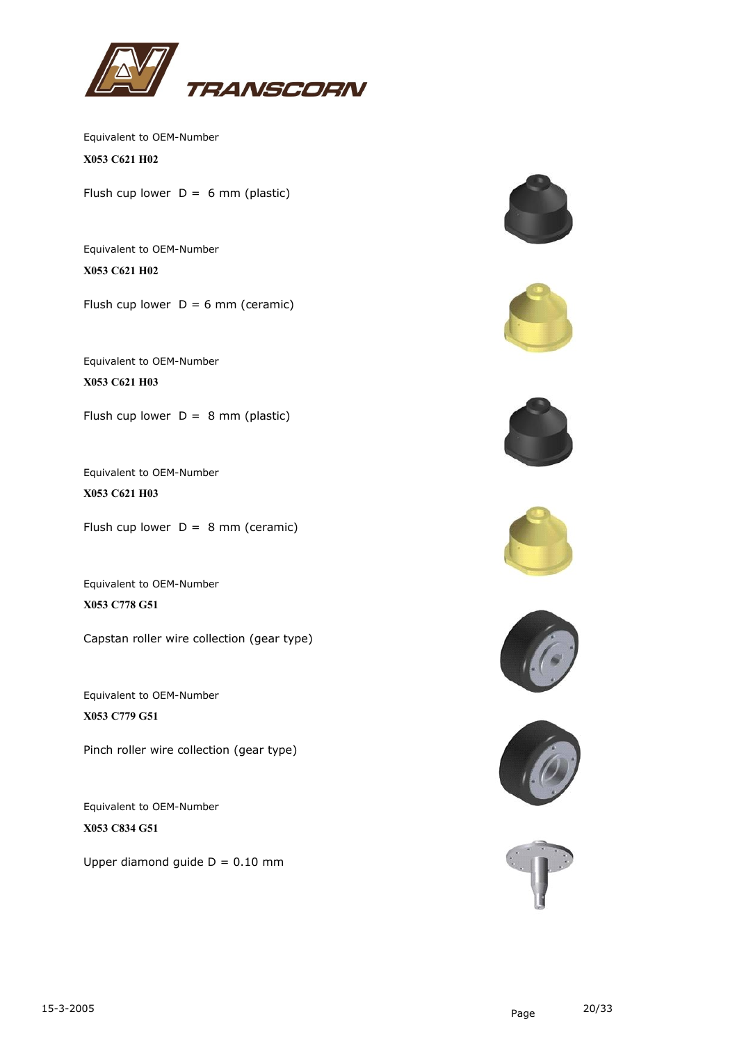

Equivalent to OEM-Number **X053 C621 H02**

Flush cup lower  $D = 6$  mm (plastic)

Equivalent to OEM-Number **X053 C621 H02**

Flush cup lower  $D = 6$  mm (ceramic)

Equivalent to OEM-Number **X053 C621 H03**

Flush cup lower  $D = 8$  mm (plastic)

Equivalent to OEM-Number **X053 C621 H03**

Flush cup lower  $D = 8$  mm (ceramic)

Equivalent to OEM-Number **X053 C778 G51**

Capstan roller wire collection (gear type)

Equivalent to OEM-Number **X053 C779 G51**

Pinch roller wire collection (gear type)

Equivalent to OEM-Number **X053 C834 G51**

Upper diamond quide  $D = 0.10$  mm













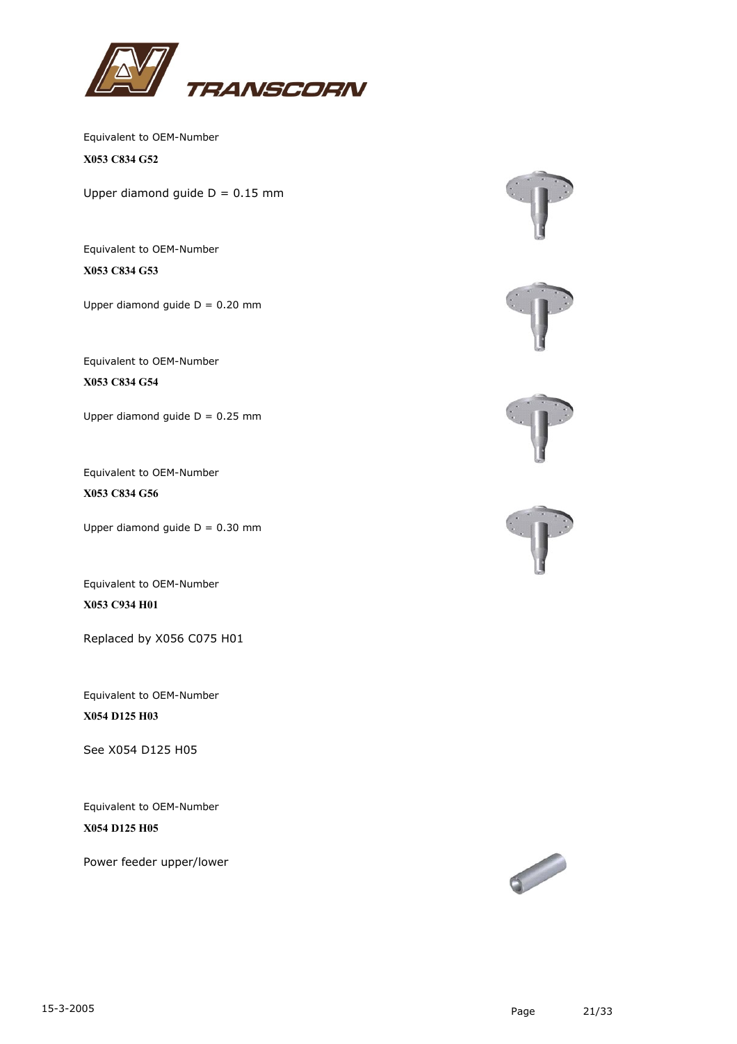

Equivalent to OEM-Number **X053 C834 G52**

Upper diamond guide  $D = 0.15$  mm

Equivalent to OEM-Number **X053 C834 G53**

Upper diamond guide  $D = 0.20$  mm

Equivalent to OEM-Number

**X053 C834 G54**

Upper diamond guide  $D = 0.25$  mm

Equivalent to OEM-Number **X053 C834 G56**

Upper diamond guide  $D = 0.30$  mm

Equivalent to OEM-Number **X053 C934 H01**

Replaced by X056 C075 H01

Equivalent to OEM-Number **X054 D125 H03**

See X054 D125 H05

Equivalent to OEM-Number **X054 D125 H05**

Power feeder upper/lower





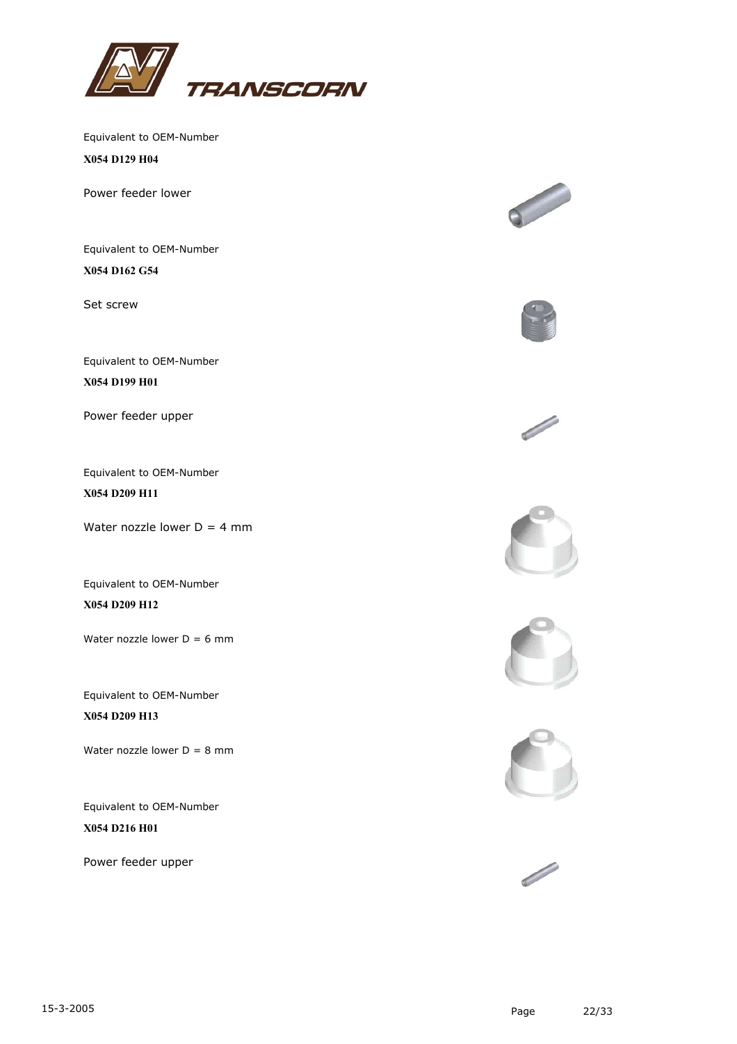

**X054 D129 H04**

Power feeder lower

Equivalent to OEM-Number **X054 D162 G54**

Set screw

Equivalent to OEM-Number

**X054 D199 H01**

Power feeder upper

Equivalent to OEM-Number **X054 D209 H11**

Water nozzle lower  $D = 4$  mm

Equivalent to OEM-Number **X054 D209 H12**

Water nozzle lower  $D = 6$  mm

Equivalent to OEM-Number **X054 D209 H13**

Water nozzle lower  $D = 8$  mm

Equivalent to OEM-Number **X054 D216 H01**

Power feeder upper













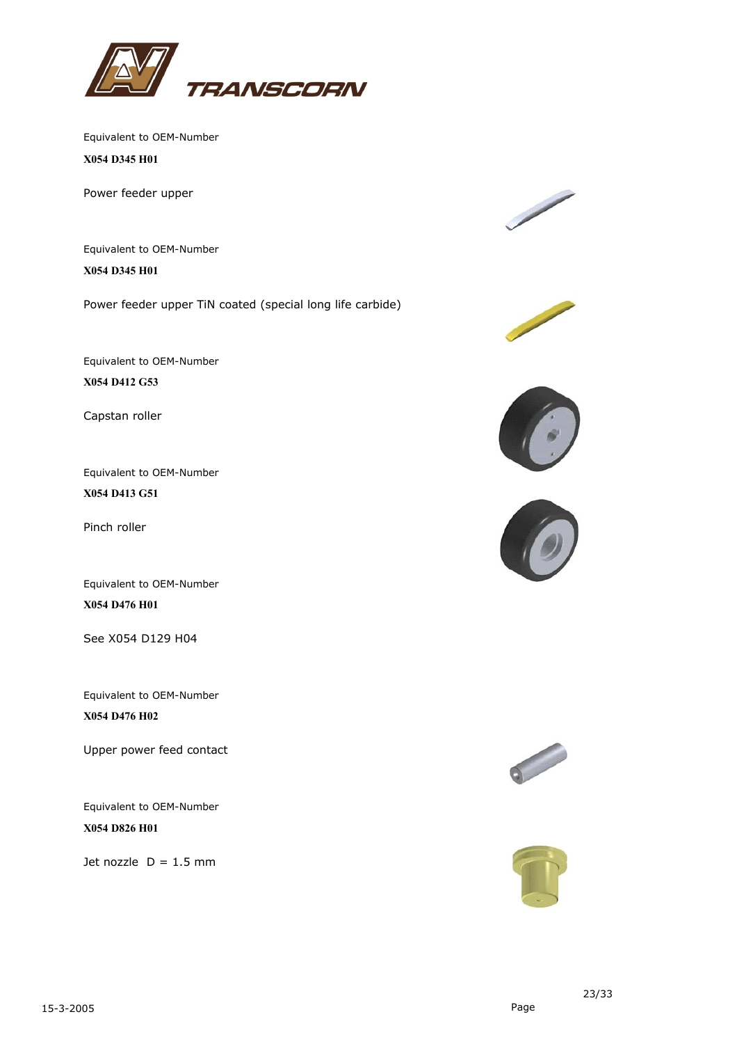

**X054 D345 H01**

Power feeder upper

Equivalent to OEM-Number **X054 D345 H01**

Power feeder upper TiN coated (special long life carbide)

Equivalent to OEM-Number

**X054 D412 G53**

Capstan roller

Equivalent to OEM-Number **X054 D413 G51**

Pinch roller

Equivalent to OEM-Number **X054 D476 H01**

See X054 D129 H04

Equivalent to OEM-Number **X054 D476 H02**

Upper power feed contact

Equivalent to OEM-Number **X054 D826 H01**

Jet nozzle  $D = 1.5$  mm











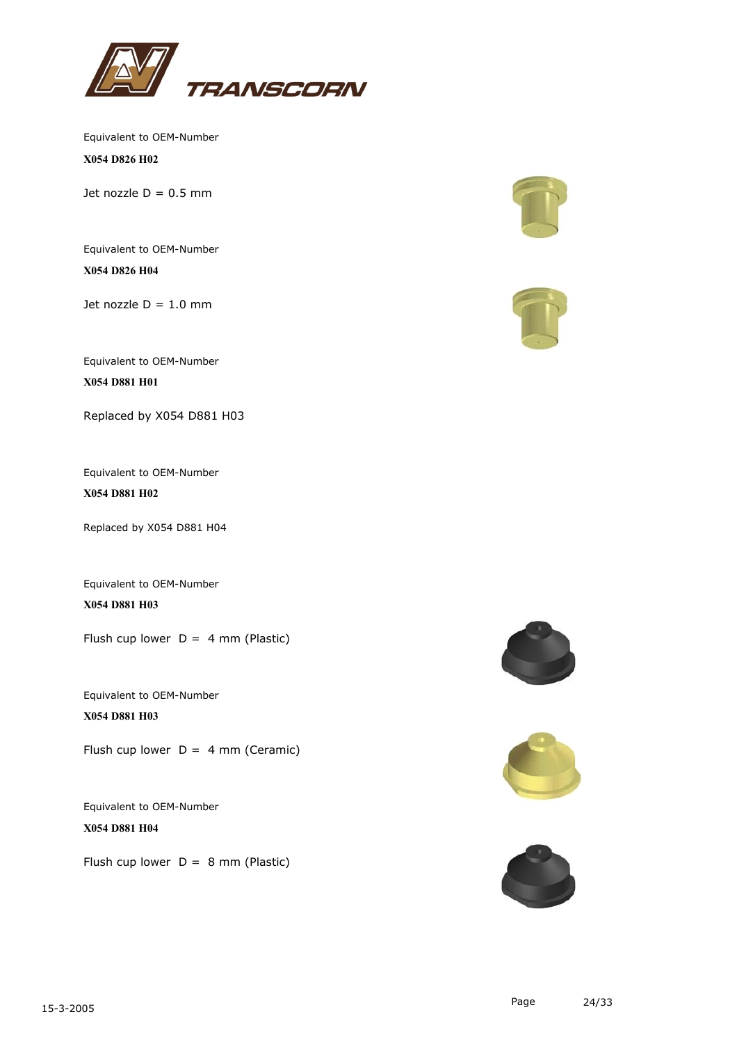

Equivalent to OEM-Number **X054 D826 H02**

Jet nozzle  $D = 0.5$  mm

Equivalent to OEM-Number **X054 D826 H04**

Jet nozzle  $D = 1.0$  mm

Equivalent to OEM-Number

**X054 D881 H01**

Replaced by X054 D881 H03

Equivalent to OEM-Number **X054 D881 H02**

Replaced by X054 D881 H04

Equivalent to OEM-Number **X054 D881 H03**

Flush cup lower  $D = 4$  mm (Plastic)

Equivalent to OEM-Number **X054 D881 H03**

Flush cup lower  $D = 4$  mm (Ceramic)

Equivalent to OEM-Number **X054 D881 H04**

Flush cup lower  $D = 8$  mm (Plastic)









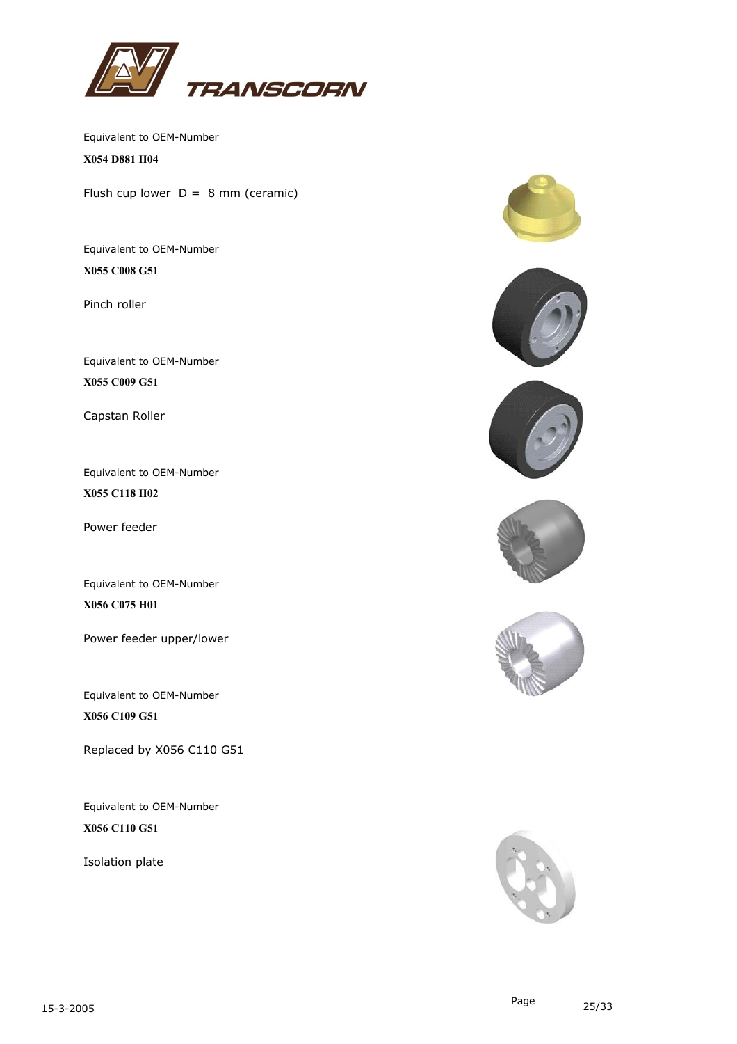

**X054 D881 H04**

Flush cup lower  $D = 8$  mm (ceramic)

Equivalent to OEM-Number **X055 C008 G51**

Pinch roller

Equivalent to OEM-Number **X055 C009 G51**

Capstan Roller

Equivalent to OEM-Number **X055 C118 H02**

Power feeder

Equivalent to OEM-Number **X056 C075 H01**

Power feeder upper/lower

Equivalent to OEM-Number **X056 C109 G51**

Replaced by X056 C110 G51

Equivalent to OEM-Number **X056 C110 G51**

Isolation plate











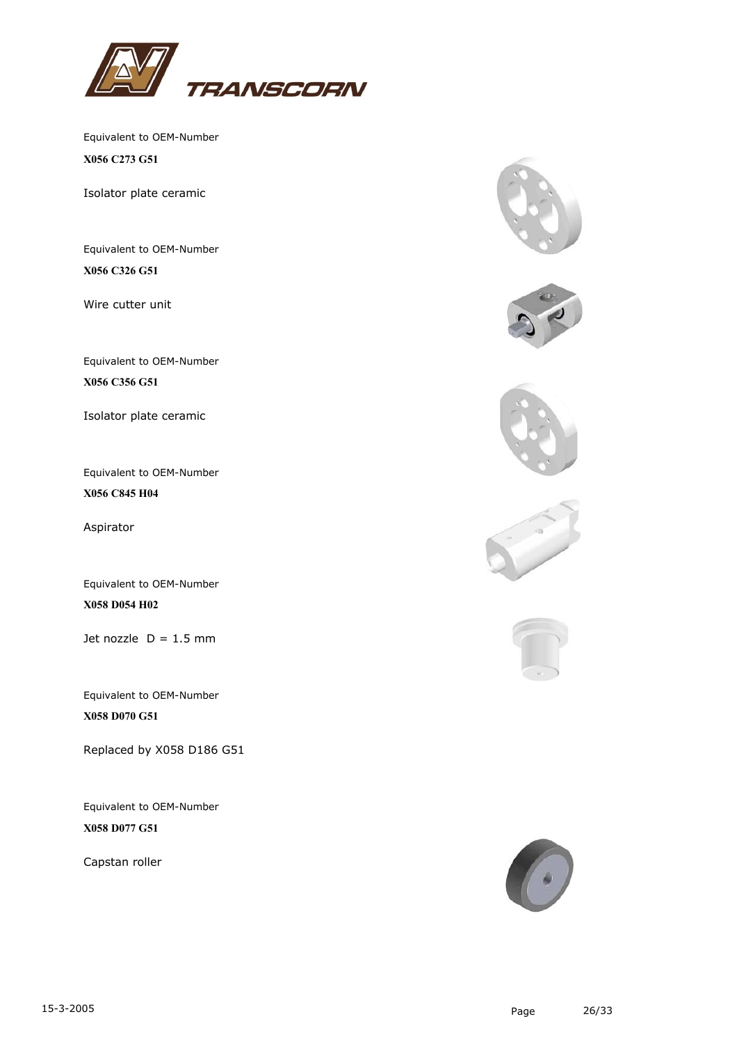

Equivalent to OEM-Number **X056 C273 G51**

Isolator plate ceramic

Equivalent to OEM-Number **X056 C326 G51**

Wire cutter unit

Equivalent to OEM-Number **X056 C356 G51**

Isolator plate ceramic

Equivalent to OEM-Number **X056 C845 H04**

Aspirator

Equivalent to OEM-Number **X058 D054 H02**

Jet nozzle  $D = 1.5$  mm

Equivalent to OEM-Number **X058 D070 G51**

Replaced by X058 D186 G51

Equivalent to OEM-Number **X058 D077 G51**

Capstan roller











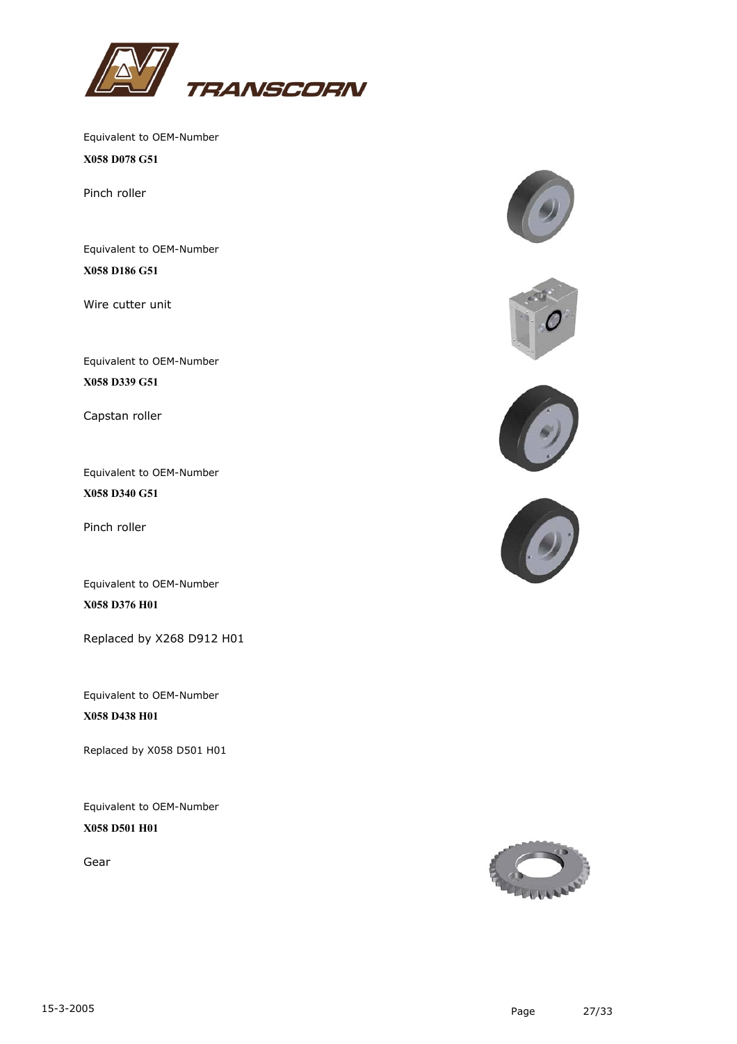

Equivalent to OEM-Number **X058 D078 G51**

Pinch roller

Equivalent to OEM-Number **X058 D186 G51**

Wire cutter unit

Equivalent to OEM-Number

**X058 D339 G51**

Capstan roller

Equivalent to OEM-Number **X058 D340 G51**

Pinch roller

Equivalent to OEM-Number **X058 D376 H01**

Replaced by X268 D912 H01

Equivalent to OEM-Number **X058 D438 H01**

Replaced by X058 D501 H01

Equivalent to OEM-Number **X058 D501 H01**

Gear









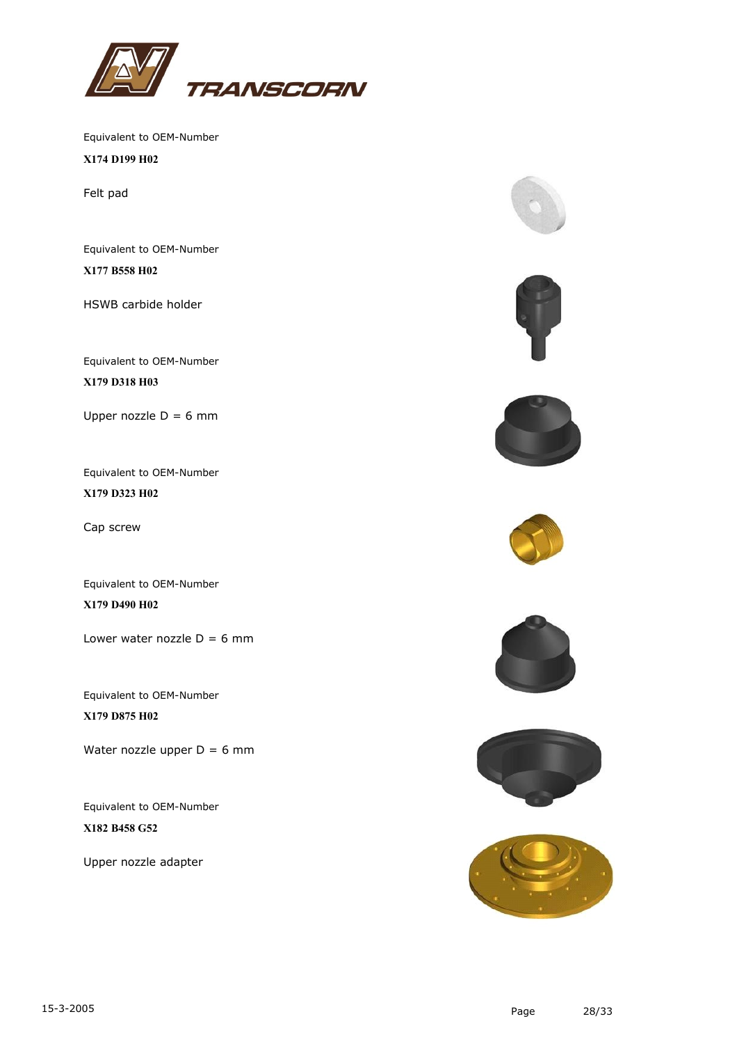

**X174 D199 H02**

Felt pad

Equivalent to OEM-Number **X177 B558 H02**

HSWB carbide holder

Equivalent to OEM-Number

**X179 D318 H03**

Upper nozzle  $D = 6$  mm

Equivalent to OEM-Number **X179 D323 H02**

Cap screw

Equivalent to OEM-Number **X179 D490 H02**

Lower water nozzle  $D = 6$  mm

Equivalent to OEM-Number **X179 D875 H02**

Water nozzle upper  $D = 6$  mm

Equivalent to OEM-Number **X182 B458 G52**

Upper nozzle adapter













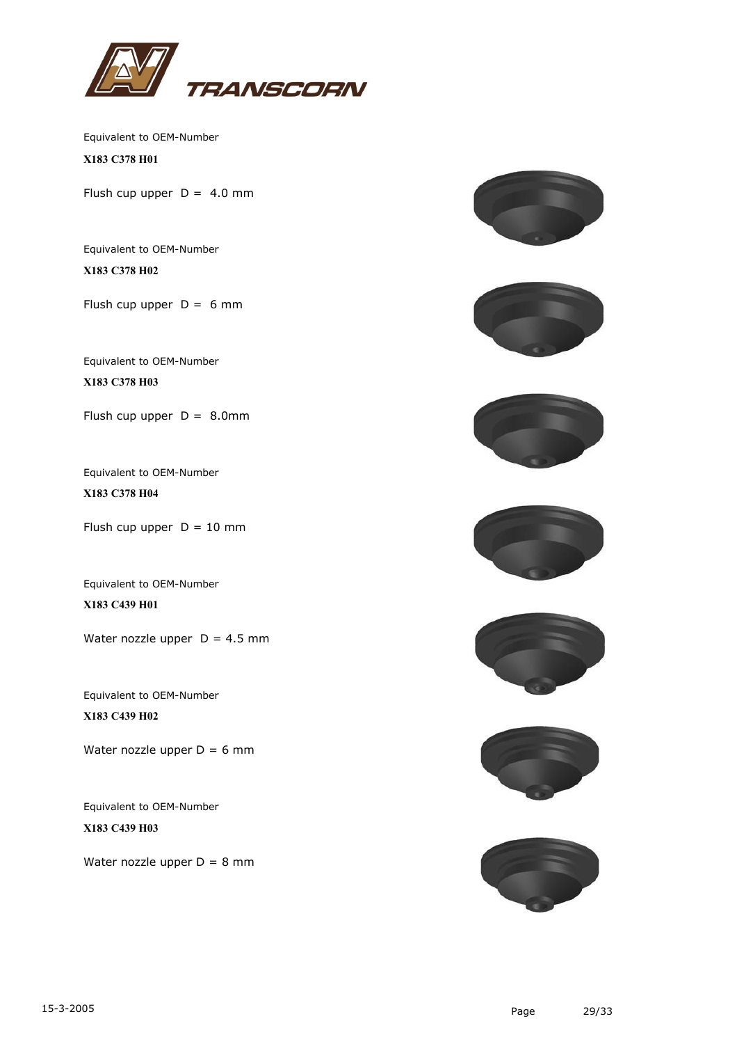

Equivalent to OEM-Number **X183 C378 H01**

Flush cup upper  $D = 4.0$  mm

Equivalent to OEM-Number **X183 C378 H02**

Flush cup upper  $D = 6$  mm

Equivalent to OEM-Number **X183 C378 H03**

Flush cup upper  $D = 8.0$ mm

Equivalent to OEM-Number **X183 C378 H04**

Flush cup upper  $D = 10$  mm

Equivalent to OEM-Number **X183 C439 H01**

Water nozzle upper  $D = 4.5$  mm

Equivalent to OEM-Number **X183 C439 H02**

Water nozzle upper  $D = 6$  mm

Equivalent to OEM-Number **X183 C439 H03**

Water nozzle upper  $D = 8$  mm













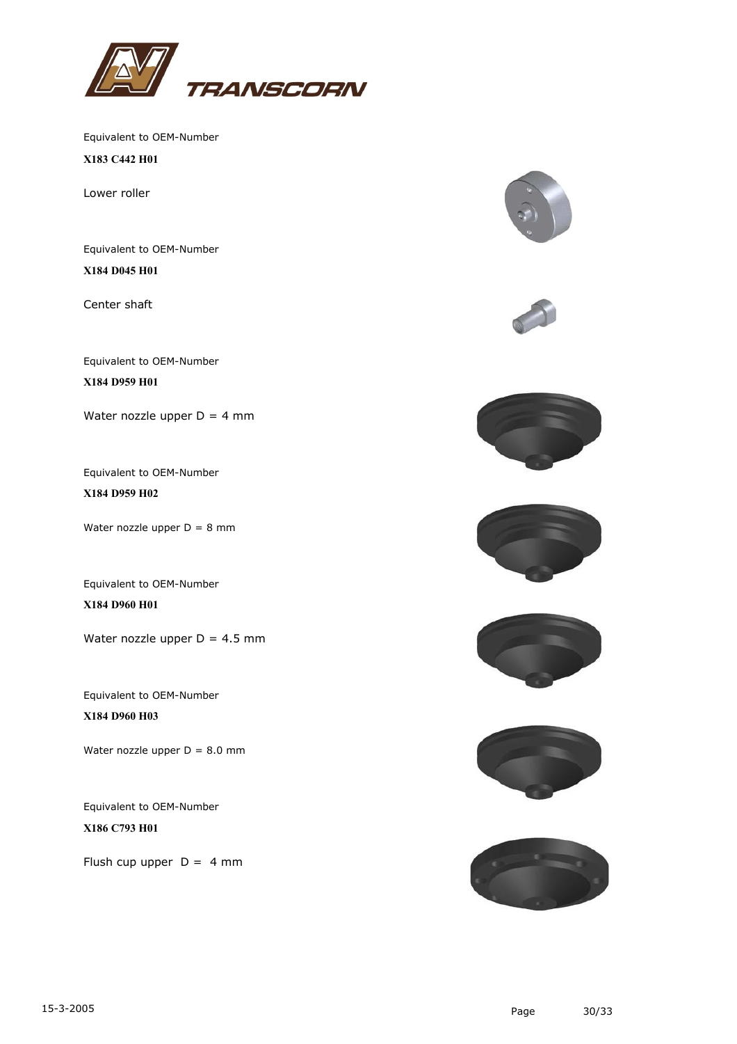

**X183 C442 H01**

Lower roller

Equivalent to OEM-Number **X184 D045 H01**

Center shaft

Equivalent to OEM-Number

**X184 D959 H01**

Water nozzle upper  $D = 4$  mm

Equivalent to OEM-Number **X184 D959 H02**

Water nozzle upper  $D = 8$  mm

Equivalent to OEM-Number **X184 D960 H01**

Water nozzle upper  $D = 4.5$  mm

Equivalent to OEM-Number **X184 D960 H03**

Water nozzle upper  $D = 8.0$  mm

Equivalent to OEM-Number **X186 C793 H01**

Flush cup upper  $D = 4$  mm













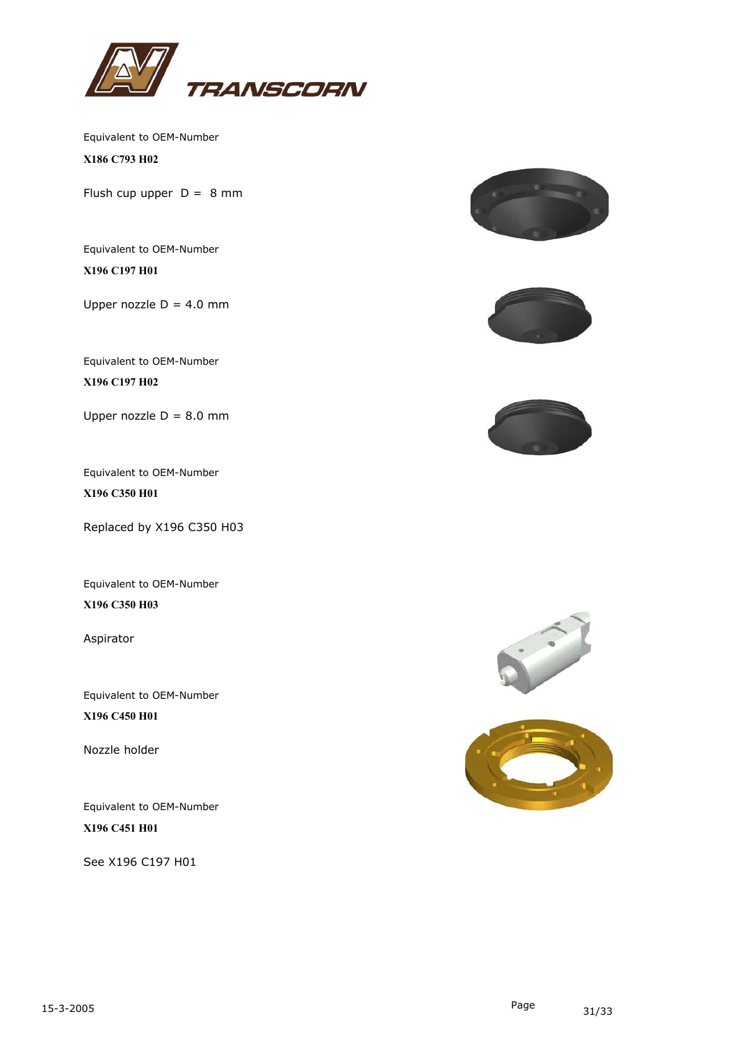

**X186 C793 H02**

Flush cup upper  $D = 8$  mm

Equivalent to OEM-Number **X196 C197 H01**

Upper nozzle  $D = 4.0$  mm

Equivalent to OEM-Number

**X196 C197 H02**

Upper nozzle  $D = 8.0$  mm

Equivalent to OEM-Number **X196 C350 H01**

Replaced by X196 C350 H03

Equivalent to OEM-Number **X196 C350 H03**

Aspirator

Equivalent to OEM-Number **X196 C450 H01**

Nozzle holder

Equivalent to OEM-Number **X196 C451 H01**

See X196 C197 H01







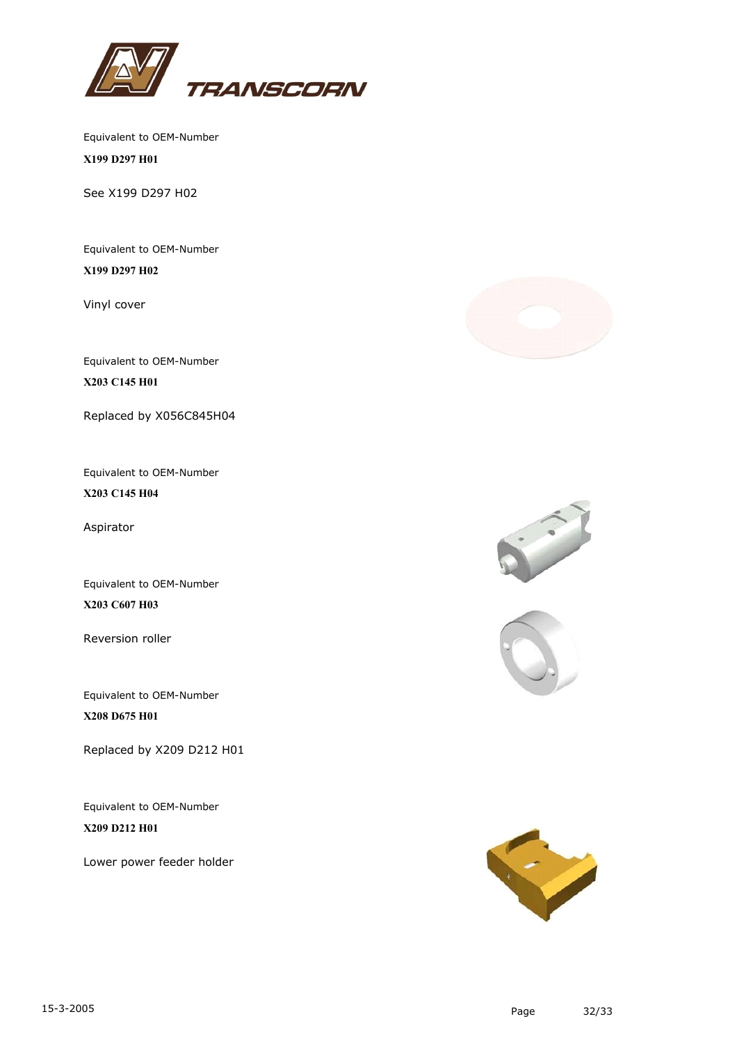

Equivalent to OEM-Number **X199 D297 H01**

See X199 D297 H02

Equivalent to OEM-Number **X199 D297 H02**

Vinyl cover

Equivalent to OEM-Number

**X203 C145 H01**

Replaced by X056C845H04

Equivalent to OEM-Number **X203 C145 H04**

Aspirator

Equivalent to OEM-Number **X203 C607 H03**

Reversion roller

Equivalent to OEM-Number **X208 D675 H01**

Replaced by X209 D212 H01

Equivalent to OEM-Number **X209 D212 H01**

Lower power feeder holder